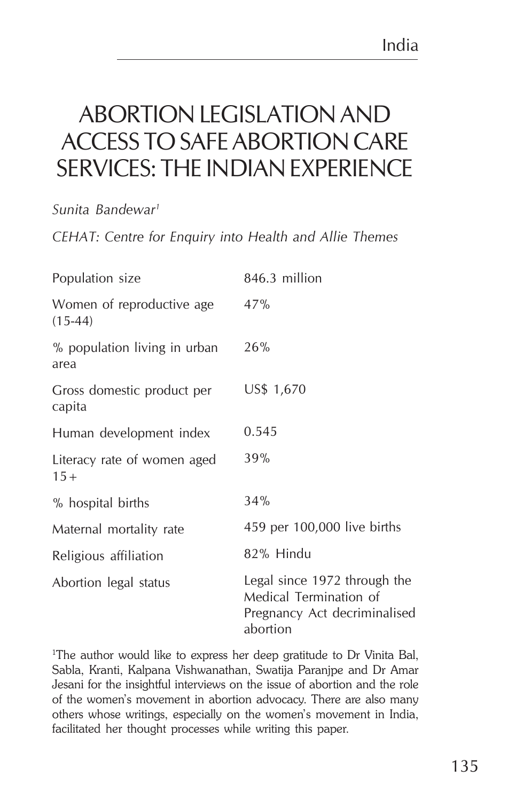## ABORTION LEGISLATION AND ACCESS TO SAFE ABORTION CARE SERVICES: THE INDIAN EXPERIENCE

*Sunita Bandewar1*

*CEHAT: Centre for Enquiry into Health and Allie Themes*

| Population size                         | 846.3 million                                                                                      |
|-----------------------------------------|----------------------------------------------------------------------------------------------------|
| Women of reproductive age.<br>$(15-44)$ | 47%                                                                                                |
| % population living in urban<br>area    | 26%                                                                                                |
| Gross domestic product per<br>capita    | US\$ 1,670                                                                                         |
| Human development index                 | 0.545                                                                                              |
| Literacy rate of women aged<br>$15 +$   | 39%                                                                                                |
| % hospital births                       | 34%                                                                                                |
| Maternal mortality rate                 | 459 per 100,000 live births                                                                        |
| Religious affiliation                   | 82% Hindu                                                                                          |
| Abortion legal status                   | Legal since 1972 through the<br>Medical Termination of<br>Pregnancy Act decriminalised<br>abortion |

1 The author would like to express her deep gratitude to Dr Vinita Bal, Sabla, Kranti, Kalpana Vishwanathan, Swatija Paranjpe and Dr Amar Jesani for the insightful interviews on the issue of abortion and the role of the women's movement in abortion advocacy. There are also many others whose writings, especially on the women's movement in India, facilitated her thought processes while writing this paper.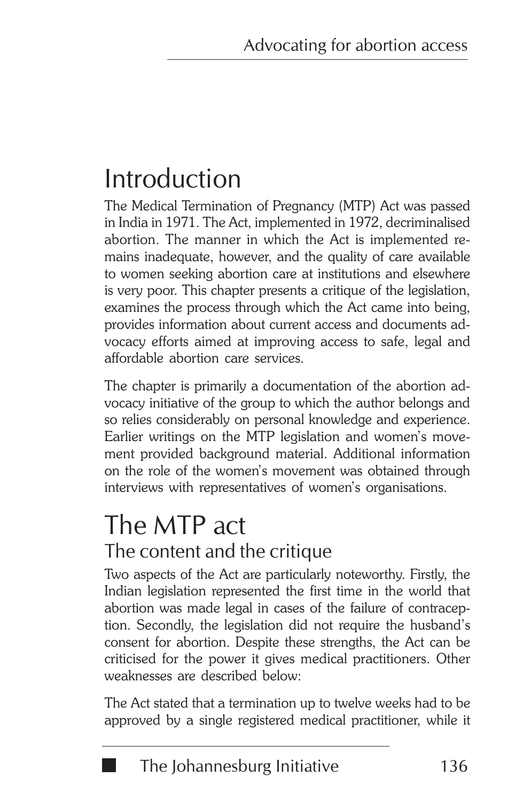# Introduction

The Medical Termination of Pregnancy (MTP) Act was passed in India in 1971. The Act, implemented in 1972, decriminalised abortion. The manner in which the Act is implemented remains inadequate, however, and the quality of care available to women seeking abortion care at institutions and elsewhere is very poor. This chapter presents a critique of the legislation, examines the process through which the Act came into being, provides information about current access and documents advocacy efforts aimed at improving access to safe, legal and affordable abortion care services.

The chapter is primarily a documentation of the abortion advocacy initiative of the group to which the author belongs and so relies considerably on personal knowledge and experience. Earlier writings on the MTP legislation and women's movement provided background material. Additional information on the role of the women's movement was obtained through interviews with representatives of women's organisations.

## The MTP act The content and the critique

Two aspects of the Act are particularly noteworthy. Firstly, the Indian legislation represented the first time in the world that abortion was made legal in cases of the failure of contraception. Secondly, the legislation did not require the husband's consent for abortion. Despite these strengths, the Act can be criticised for the power it gives medical practitioners. Other weaknesses are described below:

The Act stated that a termination up to twelve weeks had to be approved by a single registered medical practitioner, while it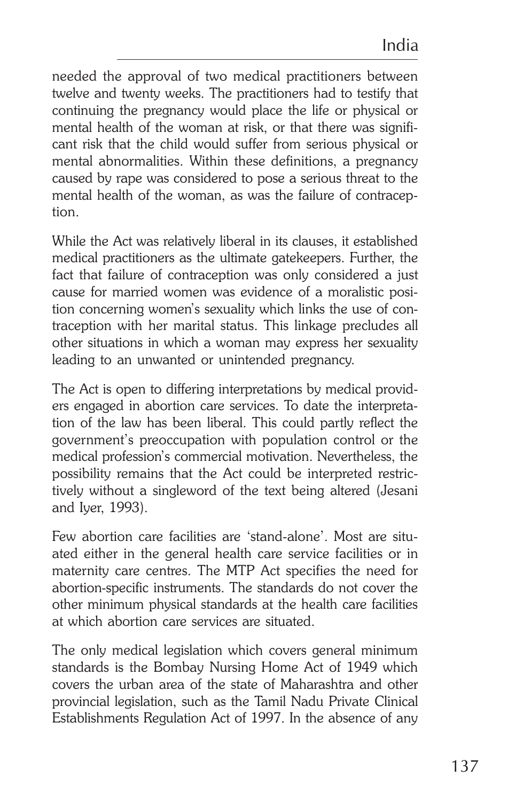needed the approval of two medical practitioners between twelve and twenty weeks. The practitioners had to testify that continuing the pregnancy would place the life or physical or mental health of the woman at risk, or that there was significant risk that the child would suffer from serious physical or mental abnormalities. Within these definitions, a pregnancy caused by rape was considered to pose a serious threat to the mental health of the woman, as was the failure of contraception.

While the Act was relatively liberal in its clauses, it established medical practitioners as the ultimate gatekeepers. Further, the fact that failure of contraception was only considered a just cause for married women was evidence of a moralistic position concerning women's sexuality which links the use of contraception with her marital status. This linkage precludes all other situations in which a woman may express her sexuality leading to an unwanted or unintended pregnancy.

The Act is open to differing interpretations by medical providers engaged in abortion care services. To date the interpretation of the law has been liberal. This could partly reflect the government's preoccupation with population control or the medical profession's commercial motivation. Nevertheless, the possibility remains that the Act could be interpreted restrictively without a singleword of the text being altered (Jesani and Iyer, 1993).

Few abortion care facilities are 'stand-alone'. Most are situated either in the general health care service facilities or in maternity care centres. The MTP Act specifies the need for abortion-specific instruments. The standards do not cover the other minimum physical standards at the health care facilities at which abortion care services are situated.

The only medical legislation which covers general minimum standards is the Bombay Nursing Home Act of 1949 which covers the urban area of the state of Maharashtra and other provincial legislation, such as the Tamil Nadu Private Clinical Establishments Regulation Act of 1997. In the absence of any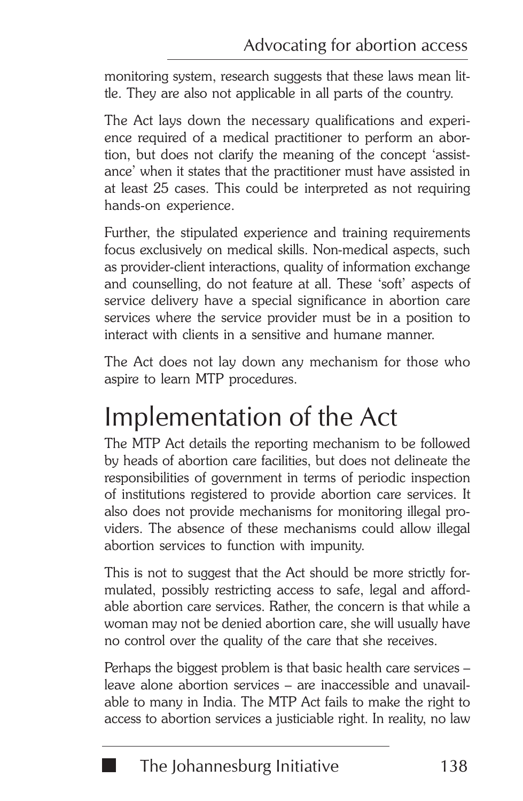monitoring system, research suggests that these laws mean little. They are also not applicable in all parts of the country.

The Act lays down the necessary qualifications and experience required of a medical practitioner to perform an abortion, but does not clarify the meaning of the concept 'assistance' when it states that the practitioner must have assisted in at least 25 cases. This could be interpreted as not requiring hands-on experience.

Further, the stipulated experience and training requirements focus exclusively on medical skills. Non-medical aspects, such as provider-client interactions, quality of information exchange and counselling, do not feature at all. These 'soft' aspects of service delivery have a special significance in abortion care services where the service provider must be in a position to interact with clients in a sensitive and humane manner.

The Act does not lay down any mechanism for those who aspire to learn MTP procedures.

# Implementation of the Act

The MTP Act details the reporting mechanism to be followed by heads of abortion care facilities, but does not delineate the responsibilities of government in terms of periodic inspection of institutions registered to provide abortion care services. It also does not provide mechanisms for monitoring illegal providers. The absence of these mechanisms could allow illegal abortion services to function with impunity.

This is not to suggest that the Act should be more strictly formulated, possibly restricting access to safe, legal and affordable abortion care services. Rather, the concern is that while a woman may not be denied abortion care, she will usually have no control over the quality of the care that she receives.

Perhaps the biggest problem is that basic health care services – leave alone abortion services – are inaccessible and unavailable to many in India. The MTP Act fails to make the right to access to abortion services a justiciable right. In reality, no law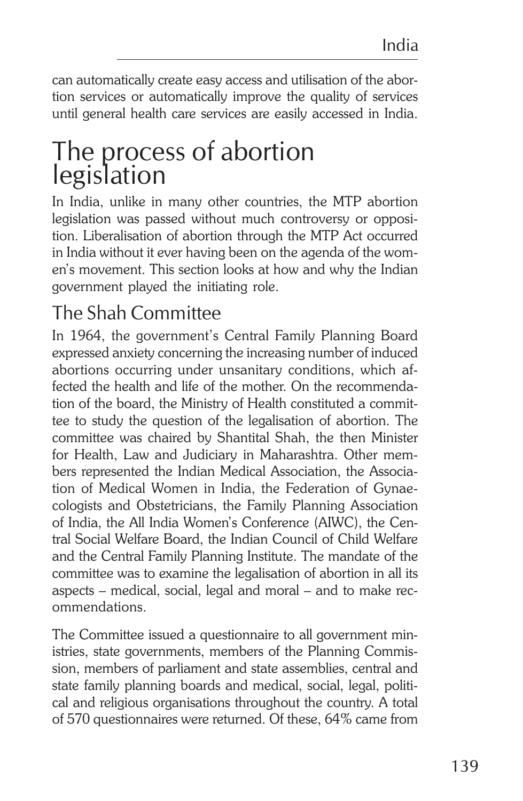can automatically create easy access and utilisation of the abortion services or automatically improve the quality of services until general health care services are easily accessed in India.

## The process of abortion legislation

In India, unlike in many other countries, the MTP abortion legislation was passed without much controversy or opposition. Liberalisation of abortion through the MTP Act occurred in India without it ever having been on the agenda of the women's movement. This section looks at how and why the Indian government played the initiating role.

### The Shah Committee

In 1964, the government's Central Family Planning Board expressed anxiety concerning the increasing number of induced abortions occurring under unsanitary conditions, which affected the health and life of the mother. On the recommendation of the board, the Ministry of Health constituted a committee to study the question of the legalisation of abortion. The committee was chaired by Shantital Shah, the then Minister for Health, Law and Judiciary in Maharashtra. Other members represented the Indian Medical Association, the Association of Medical Women in India, the Federation of Gynaecologists and Obstetricians, the Family Planning Association of India, the All India Women's Conference (AIWC), the Central Social Welfare Board, the Indian Council of Child Welfare and the Central Family Planning Institute. The mandate of the committee was to examine the legalisation of abortion in all its aspects – medical, social, legal and moral – and to make recommendations.

The Committee issued a questionnaire to all government ministries, state governments, members of the Planning Commission, members of parliament and state assemblies, central and state family planning boards and medical, social, legal, political and religious organisations throughout the country. A total of 570 questionnaires were returned. Of these, 64% came from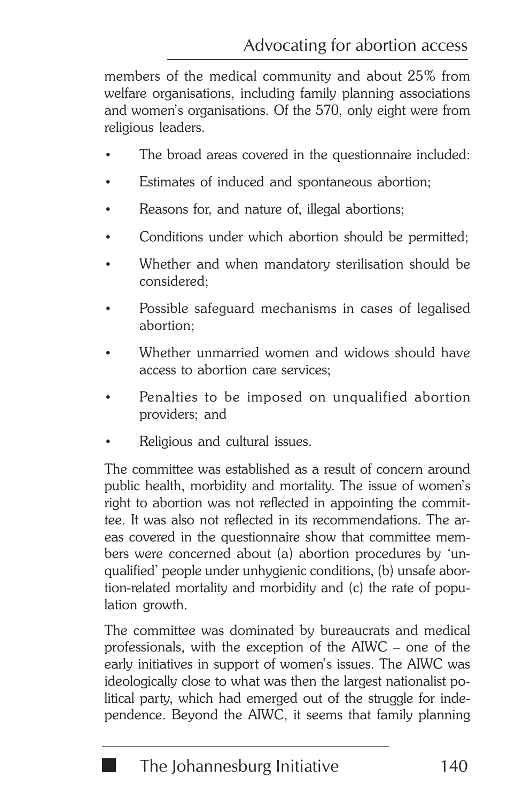members of the medical community and about 25% from welfare organisations, including family planning associations and women's organisations. Of the 570, only eight were from religious leaders.

- The broad areas covered in the questionnaire included:
- Estimates of induced and spontaneous abortion;
- Reasons for, and nature of, illegal abortions;
- Conditions under which abortion should be permitted;
- Whether and when mandatory sterilisation should be considered;
- Possible safeguard mechanisms in cases of legalised abortion;
- Whether unmarried women and widows should have access to abortion care services;
- Penalties to be imposed on unqualified abortion providers; and
- Religious and cultural issues.

The committee was established as a result of concern around public health, morbidity and mortality. The issue of women's right to abortion was not reflected in appointing the committee. It was also not reflected in its recommendations. The areas covered in the questionnaire show that committee members were concerned about (a) abortion procedures by 'unqualified' people under unhygienic conditions, (b) unsafe abortion-related mortality and morbidity and (c) the rate of population growth.

The committee was dominated by bureaucrats and medical professionals, with the exception of the AIWC – one of the early initiatives in support of women's issues. The AIWC was ideologically close to what was then the largest nationalist political party, which had emerged out of the struggle for independence. Beyond the AIWC, it seems that family planning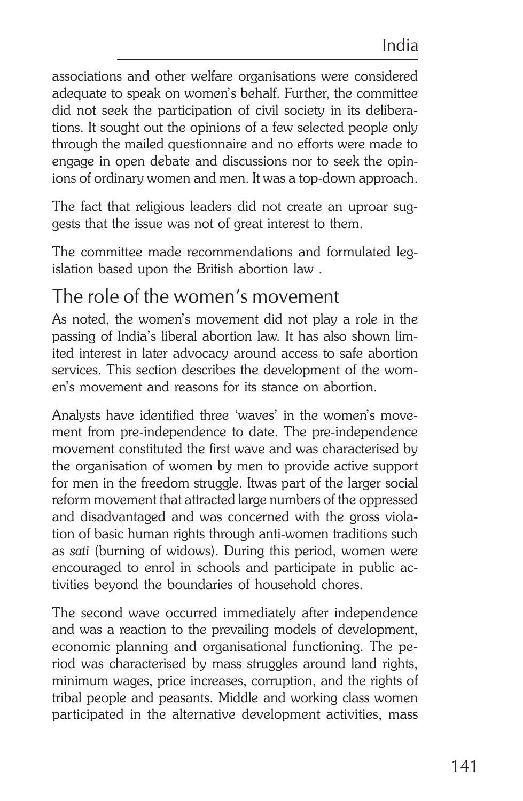associations and other welfare organisations were considered adequate to speak on women's behalf. Further, the committee did not seek the participation of civil society in its deliberations. It sought out the opinions of a few selected people only through the mailed questionnaire and no efforts were made to engage in open debate and discussions nor to seek the opinions of ordinary women and men. It was a top-down approach.

The fact that religious leaders did not create an uproar suggests that the issue was not of great interest to them.

The committee made recommendations and formulated legislation based upon the British abortion law .

#### The role of the women's movement

As noted, the women's movement did not play a role in the passing of India's liberal abortion law. It has also shown limited interest in later advocacy around access to safe abortion services. This section describes the development of the women's movement and reasons for its stance on abortion.

Analysts have identified three 'waves' in the women's movement from pre-independence to date. The pre-independence movement constituted the first wave and was characterised by the organisation of women by men to provide active support for men in the freedom struggle. Itwas part of the larger social reform movement that attracted large numbers of the oppressed and disadvantaged and was concerned with the gross violation of basic human rights through anti-women traditions such as *sati* (burning of widows). During this period, women were encouraged to enrol in schools and participate in public activities beyond the boundaries of household chores.

The second wave occurred immediately after independence and was a reaction to the prevailing models of development, economic planning and organisational functioning. The period was characterised by mass struggles around land rights, minimum wages, price increases, corruption, and the rights of tribal people and peasants. Middle and working class women participated in the alternative development activities, mass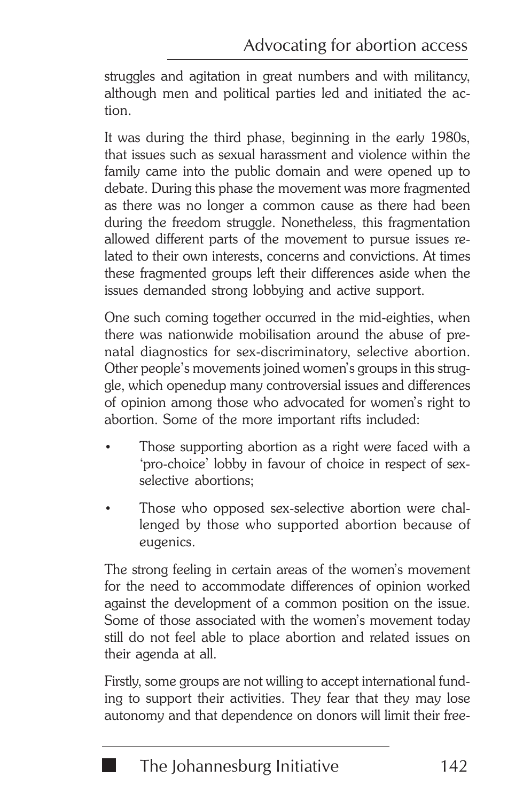struggles and agitation in great numbers and with militancy, although men and political parties led and initiated the action.

It was during the third phase, beginning in the early 1980s, that issues such as sexual harassment and violence within the family came into the public domain and were opened up to debate. During this phase the movement was more fragmented as there was no longer a common cause as there had been during the freedom struggle. Nonetheless, this fragmentation allowed different parts of the movement to pursue issues related to their own interests, concerns and convictions. At times these fragmented groups left their differences aside when the issues demanded strong lobbying and active support.

One such coming together occurred in the mid-eighties, when there was nationwide mobilisation around the abuse of prenatal diagnostics for sex-discriminatory, selective abortion. Other people's movements joined women's groups in this struggle, which openedup many controversial issues and differences of opinion among those who advocated for women's right to abortion. Some of the more important rifts included:

- Those supporting abortion as a right were faced with a 'pro-choice' lobby in favour of choice in respect of sexselective abortions;
- Those who opposed sex-selective abortion were challenged by those who supported abortion because of eugenics.

The strong feeling in certain areas of the women's movement for the need to accommodate differences of opinion worked against the development of a common position on the issue. Some of those associated with the women's movement today still do not feel able to place abortion and related issues on their agenda at all.

Firstly, some groups are not willing to accept international funding to support their activities. They fear that they may lose autonomy and that dependence on donors will limit their free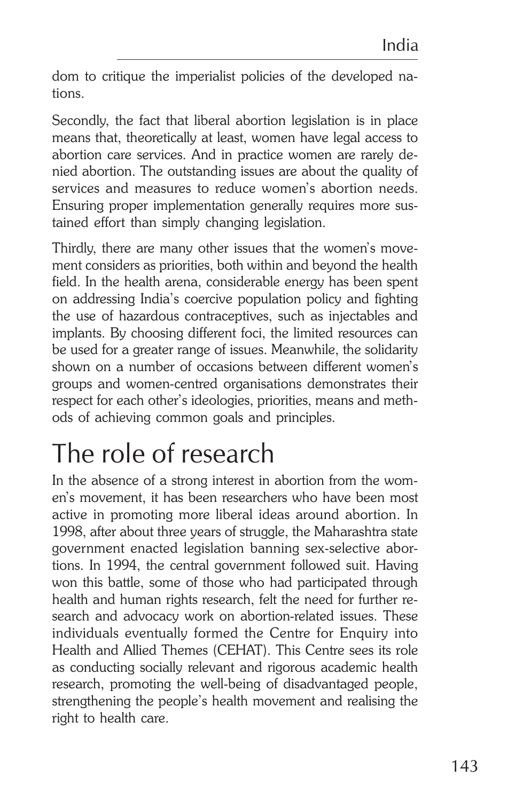dom to critique the imperialist policies of the developed nations.

Secondly, the fact that liberal abortion legislation is in place means that, theoretically at least, women have legal access to abortion care services. And in practice women are rarely denied abortion. The outstanding issues are about the quality of services and measures to reduce women's abortion needs. Ensuring proper implementation generally requires more sustained effort than simply changing legislation.

Thirdly, there are many other issues that the women's movement considers as priorities, both within and beyond the health field. In the health arena, considerable energy has been spent on addressing India's coercive population policy and fighting the use of hazardous contraceptives, such as injectables and implants. By choosing different foci, the limited resources can be used for a greater range of issues. Meanwhile, the solidarity shown on a number of occasions between different women's groups and women-centred organisations demonstrates their respect for each other's ideologies, priorities, means and methods of achieving common goals and principles.

# The role of research

In the absence of a strong interest in abortion from the women's movement, it has been researchers who have been most active in promoting more liberal ideas around abortion. In 1998, after about three years of struggle, the Maharashtra state government enacted legislation banning sex-selective abortions. In 1994, the central government followed suit. Having won this battle, some of those who had participated through health and human rights research, felt the need for further research and advocacy work on abortion-related issues. These individuals eventually formed the Centre for Enquiry into Health and Allied Themes (CEHAT). This Centre sees its role as conducting socially relevant and rigorous academic health research, promoting the well-being of disadvantaged people, strengthening the people's health movement and realising the right to health care.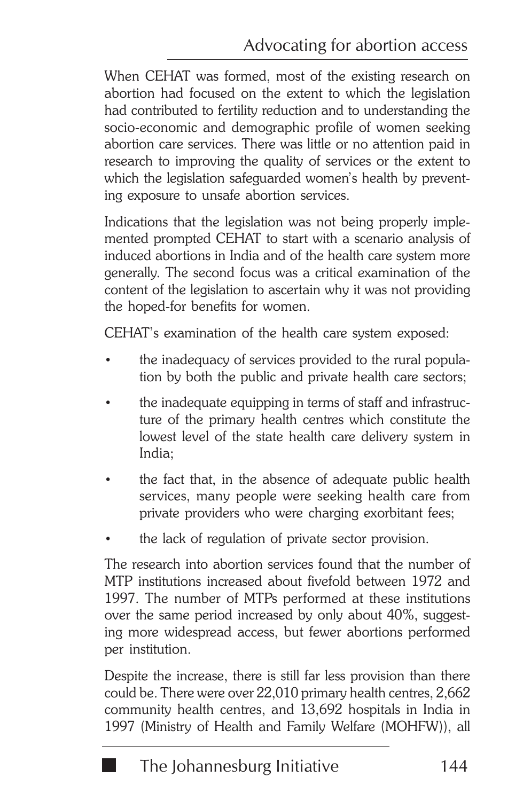When CEHAT was formed, most of the existing research on abortion had focused on the extent to which the legislation had contributed to fertility reduction and to understanding the socio-economic and demographic profile of women seeking abortion care services. There was little or no attention paid in research to improving the quality of services or the extent to which the legislation safeguarded women's health by preventing exposure to unsafe abortion services.

Indications that the legislation was not being properly implemented prompted CEHAT to start with a scenario analysis of induced abortions in India and of the health care system more generally. The second focus was a critical examination of the content of the legislation to ascertain why it was not providing the hoped-for benefits for women.

CEHAT's examination of the health care system exposed:

- the inadequacy of services provided to the rural population by both the public and private health care sectors;
- the inadequate equipping in terms of staff and infrastructure of the primary health centres which constitute the lowest level of the state health care delivery system in India;
- the fact that, in the absence of adequate public health services, many people were seeking health care from private providers who were charging exorbitant fees;
- the lack of regulation of private sector provision.

The research into abortion services found that the number of MTP institutions increased about fivefold between 1972 and 1997. The number of MTPs performed at these institutions over the same period increased by only about 40%, suggesting more widespread access, but fewer abortions performed per institution.

Despite the increase, there is still far less provision than there could be. There were over 22,010 primary health centres, 2,662 community health centres, and 13,692 hospitals in India in 1997 (Ministry of Health and Family Welfare (MOHFW)), all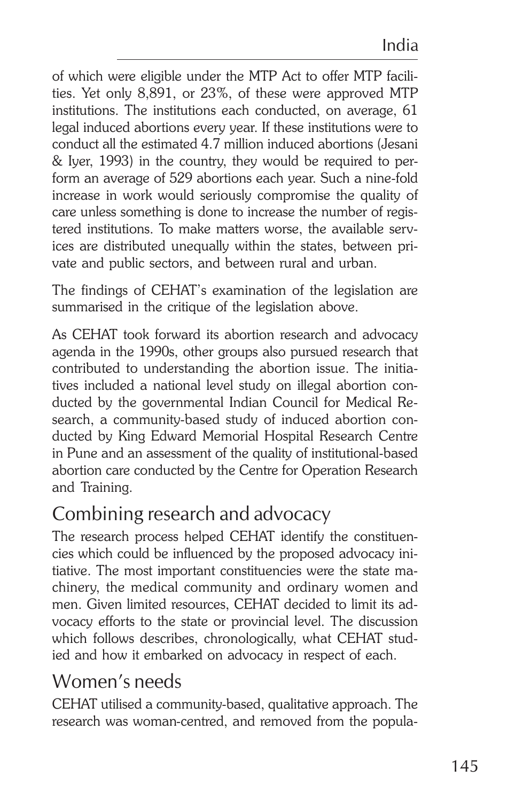of which were eligible under the MTP Act to offer MTP facilities. Yet only 8,891, or 23%, of these were approved MTP institutions. The institutions each conducted, on average, 61 legal induced abortions every year. If these institutions were to conduct all the estimated 4.7 million induced abortions (Jesani & Iyer, 1993) in the country, they would be required to perform an average of 529 abortions each year. Such a nine-fold increase in work would seriously compromise the quality of care unless something is done to increase the number of registered institutions. To make matters worse, the available services are distributed unequally within the states, between private and public sectors, and between rural and urban.

The findings of CEHAT's examination of the legislation are summarised in the critique of the legislation above.

As CEHAT took forward its abortion research and advocacy agenda in the 1990s, other groups also pursued research that contributed to understanding the abortion issue. The initiatives included a national level study on illegal abortion conducted by the governmental Indian Council for Medical Research, a community-based study of induced abortion conducted by King Edward Memorial Hospital Research Centre in Pune and an assessment of the quality of institutional-based abortion care conducted by the Centre for Operation Research and Training.

### Combining research and advocacy

The research process helped CEHAT identify the constituencies which could be influenced by the proposed advocacy initiative. The most important constituencies were the state machinery, the medical community and ordinary women and men. Given limited resources, CEHAT decided to limit its advocacy efforts to the state or provincial level. The discussion which follows describes, chronologically, what CEHAT studied and how it embarked on advocacy in respect of each.

### Women's needs

CEHAT utilised a community-based, qualitative approach. The research was woman-centred, and removed from the popula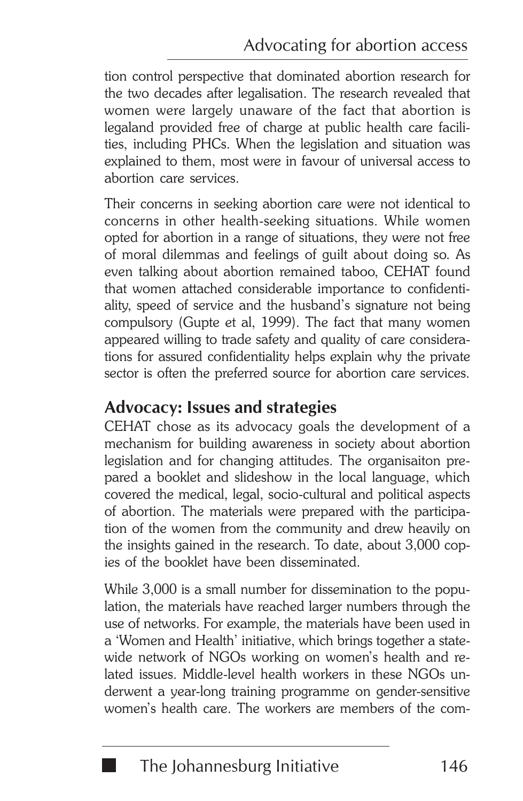tion control perspective that dominated abortion research for the two decades after legalisation. The research revealed that women were largely unaware of the fact that abortion is legaland provided free of charge at public health care facilities, including PHCs. When the legislation and situation was explained to them, most were in favour of universal access to abortion care services.

Their concerns in seeking abortion care were not identical to concerns in other health-seeking situations. While women opted for abortion in a range of situations, they were not free of moral dilemmas and feelings of guilt about doing so. As even talking about abortion remained taboo, CEHAT found that women attached considerable importance to confidentiality, speed of service and the husband's signature not being compulsory (Gupte et al, 1999). The fact that many women appeared willing to trade safety and quality of care considerations for assured confidentiality helps explain why the private sector is often the preferred source for abortion care services.

#### **Advocacy: Issues and strategies**

CEHAT chose as its advocacy goals the development of a mechanism for building awareness in society about abortion legislation and for changing attitudes. The organisaiton prepared a booklet and slideshow in the local language, which covered the medical, legal, socio-cultural and political aspects of abortion. The materials were prepared with the participation of the women from the community and drew heavily on the insights gained in the research. To date, about 3,000 copies of the booklet have been disseminated.

While 3,000 is a small number for dissemination to the population, the materials have reached larger numbers through the use of networks. For example, the materials have been used in a 'Women and Health' initiative, which brings together a statewide network of NGOs working on women's health and related issues. Middle-level health workers in these NGOs underwent a year-long training programme on gender-sensitive women's health care. The workers are members of the com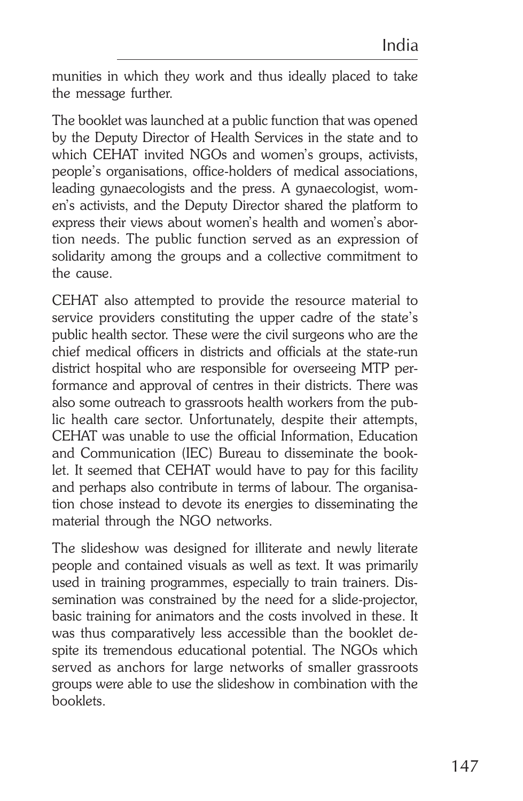munities in which they work and thus ideally placed to take the message further.

The booklet was launched at a public function that was opened by the Deputy Director of Health Services in the state and to which CEHAT invited NGOs and women's groups, activists, people's organisations, office-holders of medical associations, leading gynaecologists and the press. A gynaecologist, women's activists, and the Deputy Director shared the platform to express their views about women's health and women's abortion needs. The public function served as an expression of solidarity among the groups and a collective commitment to the cause.

CEHAT also attempted to provide the resource material to service providers constituting the upper cadre of the state's public health sector. These were the civil surgeons who are the chief medical officers in districts and officials at the state-run district hospital who are responsible for overseeing MTP performance and approval of centres in their districts. There was also some outreach to grassroots health workers from the public health care sector. Unfortunately, despite their attempts, CEHAT was unable to use the official Information, Education and Communication (IEC) Bureau to disseminate the booklet. It seemed that CEHAT would have to pay for this facility and perhaps also contribute in terms of labour. The organisation chose instead to devote its energies to disseminating the material through the NGO networks.

The slideshow was designed for illiterate and newly literate people and contained visuals as well as text. It was primarily used in training programmes, especially to train trainers. Dissemination was constrained by the need for a slide-projector, basic training for animators and the costs involved in these. It was thus comparatively less accessible than the booklet despite its tremendous educational potential. The NGOs which served as anchors for large networks of smaller grassroots groups were able to use the slideshow in combination with the booklets.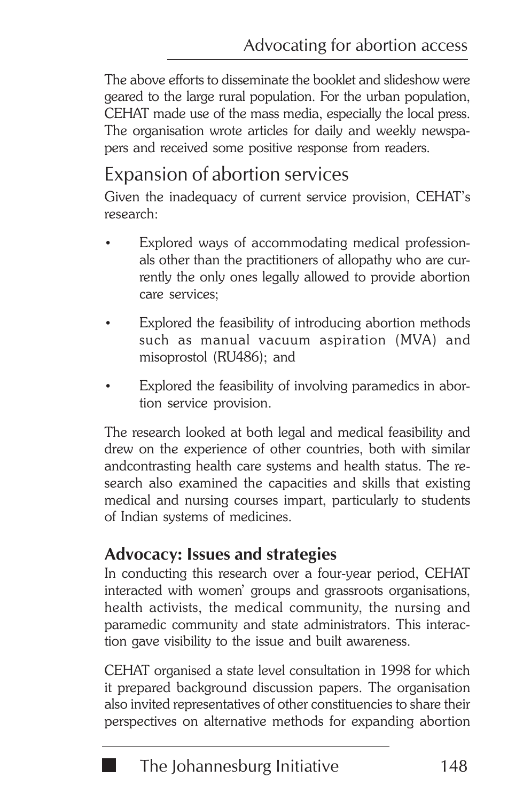The above efforts to disseminate the booklet and slideshow were geared to the large rural population. For the urban population, CEHAT made use of the mass media, especially the local press. The organisation wrote articles for daily and weekly newspapers and received some positive response from readers.

#### Expansion of abortion services

Given the inadequacy of current service provision, CEHAT's research:

- Explored ways of accommodating medical professionals other than the practitioners of allopathy who are currently the only ones legally allowed to provide abortion care services;
- Explored the feasibility of introducing abortion methods such as manual vacuum aspiration (MVA) and misoprostol (RU486); and
- Explored the feasibility of involving paramedics in abortion service provision.

The research looked at both legal and medical feasibility and drew on the experience of other countries, both with similar andcontrasting health care systems and health status. The research also examined the capacities and skills that existing medical and nursing courses impart, particularly to students of Indian systems of medicines.

#### **Advocacy: Issues and strategies**

In conducting this research over a four-year period, CEHAT interacted with women' groups and grassroots organisations, health activists, the medical community, the nursing and paramedic community and state administrators. This interaction gave visibility to the issue and built awareness.

CEHAT organised a state level consultation in 1998 for which it prepared background discussion papers. The organisation also invited representatives of other constituencies to share their perspectives on alternative methods for expanding abortion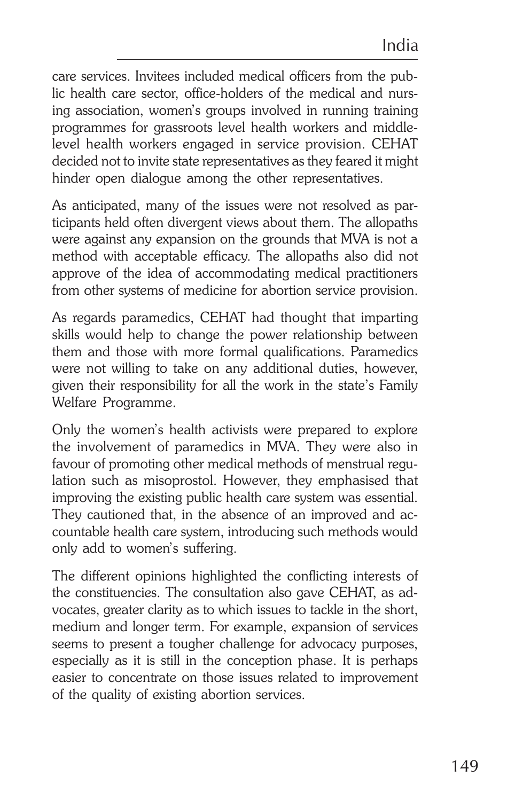care services. Invitees included medical officers from the public health care sector, office-holders of the medical and nursing association, women's groups involved in running training programmes for grassroots level health workers and middlelevel health workers engaged in service provision. CEHAT decided not to invite state representatives as they feared it might hinder open dialogue among the other representatives.

As anticipated, many of the issues were not resolved as participants held often divergent views about them. The allopaths were against any expansion on the grounds that MVA is not a method with acceptable efficacy. The allopaths also did not approve of the idea of accommodating medical practitioners from other systems of medicine for abortion service provision.

As regards paramedics, CEHAT had thought that imparting skills would help to change the power relationship between them and those with more formal qualifications. Paramedics were not willing to take on any additional duties, however, given their responsibility for all the work in the state's Family Welfare Programme.

Only the women's health activists were prepared to explore the involvement of paramedics in MVA. They were also in favour of promoting other medical methods of menstrual regulation such as misoprostol. However, they emphasised that improving the existing public health care system was essential. They cautioned that, in the absence of an improved and accountable health care system, introducing such methods would only add to women's suffering.

The different opinions highlighted the conflicting interests of the constituencies. The consultation also gave CEHAT, as advocates, greater clarity as to which issues to tackle in the short, medium and longer term. For example, expansion of services seems to present a tougher challenge for advocacy purposes, especially as it is still in the conception phase. It is perhaps easier to concentrate on those issues related to improvement of the quality of existing abortion services.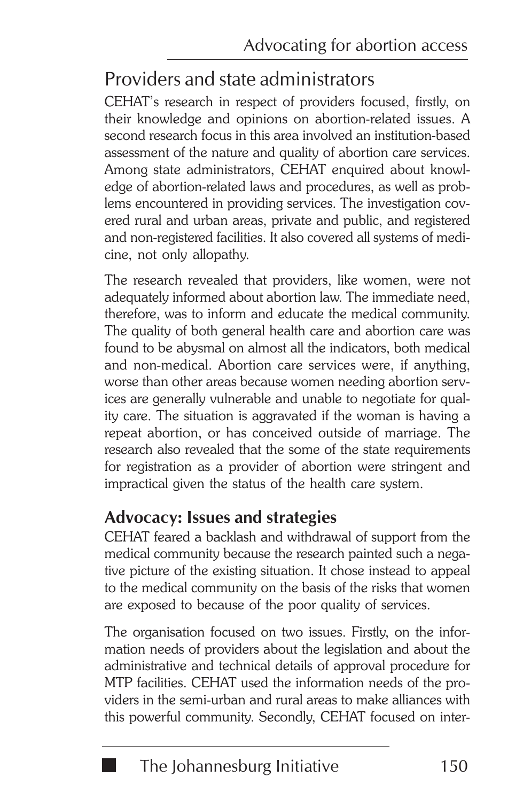### Providers and state administrators

CEHAT's research in respect of providers focused, firstly, on their knowledge and opinions on abortion-related issues. A second research focus in this area involved an institution-based assessment of the nature and quality of abortion care services. Among state administrators, CEHAT enquired about knowledge of abortion-related laws and procedures, as well as problems encountered in providing services. The investigation covered rural and urban areas, private and public, and registered and non-registered facilities. It also covered all systems of medicine, not only allopathy.

The research revealed that providers, like women, were not adequately informed about abortion law. The immediate need, therefore, was to inform and educate the medical community. The quality of both general health care and abortion care was found to be abysmal on almost all the indicators, both medical and non-medical. Abortion care services were, if anything, worse than other areas because women needing abortion services are generally vulnerable and unable to negotiate for quality care. The situation is aggravated if the woman is having a repeat abortion, or has conceived outside of marriage. The research also revealed that the some of the state requirements for registration as a provider of abortion were stringent and impractical given the status of the health care system.

#### **Advocacy: Issues and strategies**

CEHAT feared a backlash and withdrawal of support from the medical community because the research painted such a negative picture of the existing situation. It chose instead to appeal to the medical community on the basis of the risks that women are exposed to because of the poor quality of services.

The organisation focused on two issues. Firstly, on the information needs of providers about the legislation and about the administrative and technical details of approval procedure for MTP facilities. CEHAT used the information needs of the providers in the semi-urban and rural areas to make alliances with this powerful community. Secondly, CEHAT focused on inter-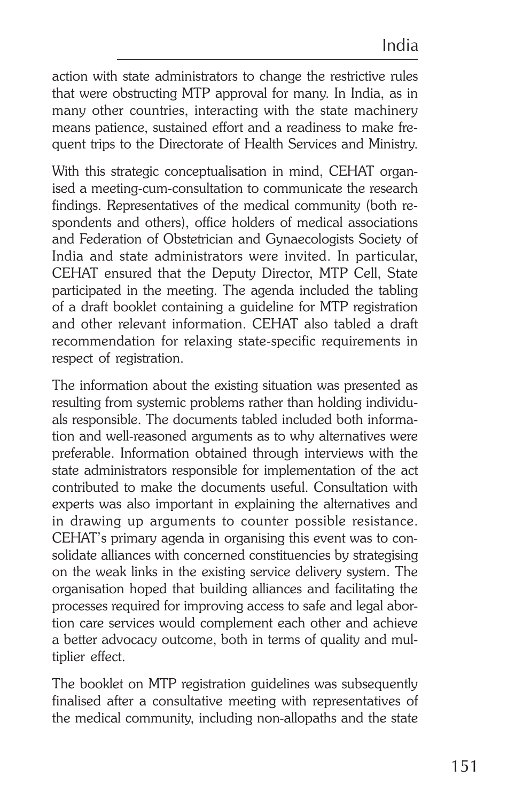action with state administrators to change the restrictive rules that were obstructing MTP approval for many. In India, as in many other countries, interacting with the state machinery means patience, sustained effort and a readiness to make frequent trips to the Directorate of Health Services and Ministry.

With this strategic conceptualisation in mind, CEHAT organised a meeting-cum-consultation to communicate the research findings. Representatives of the medical community (both respondents and others), office holders of medical associations and Federation of Obstetrician and Gynaecologists Society of India and state administrators were invited. In particular, CEHAT ensured that the Deputy Director, MTP Cell, State participated in the meeting. The agenda included the tabling of a draft booklet containing a guideline for MTP registration and other relevant information. CEHAT also tabled a draft recommendation for relaxing state-specific requirements in respect of registration.

The information about the existing situation was presented as resulting from systemic problems rather than holding individuals responsible. The documents tabled included both information and well-reasoned arguments as to why alternatives were preferable. Information obtained through interviews with the state administrators responsible for implementation of the act contributed to make the documents useful. Consultation with experts was also important in explaining the alternatives and in drawing up arguments to counter possible resistance. CEHAT's primary agenda in organising this event was to consolidate alliances with concerned constituencies by strategising on the weak links in the existing service delivery system. The organisation hoped that building alliances and facilitating the processes required for improving access to safe and legal abortion care services would complement each other and achieve a better advocacy outcome, both in terms of quality and multiplier effect.

The booklet on MTP registration guidelines was subsequently finalised after a consultative meeting with representatives of the medical community, including non-allopaths and the state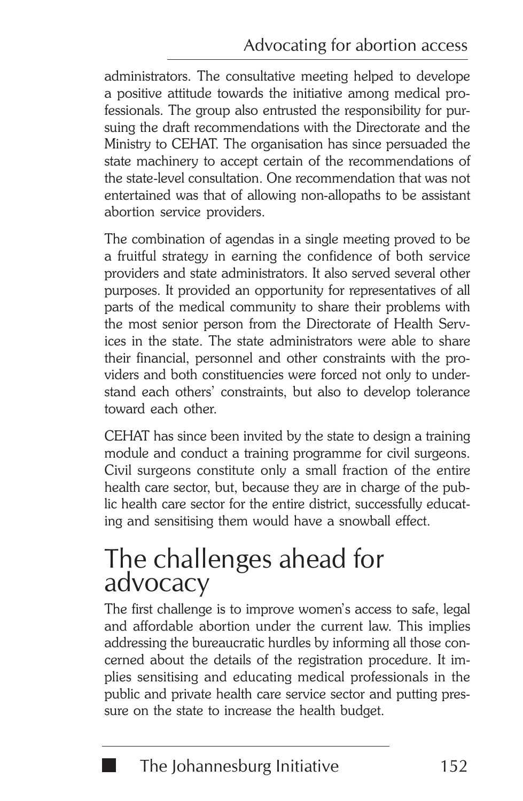administrators. The consultative meeting helped to develope a positive attitude towards the initiative among medical professionals. The group also entrusted the responsibility for pursuing the draft recommendations with the Directorate and the Ministry to CEHAT. The organisation has since persuaded the state machinery to accept certain of the recommendations of the state-level consultation. One recommendation that was not entertained was that of allowing non-allopaths to be assistant abortion service providers.

The combination of agendas in a single meeting proved to be a fruitful strategy in earning the confidence of both service providers and state administrators. It also served several other purposes. It provided an opportunity for representatives of all parts of the medical community to share their problems with the most senior person from the Directorate of Health Services in the state. The state administrators were able to share their financial, personnel and other constraints with the providers and both constituencies were forced not only to understand each others' constraints, but also to develop tolerance toward each other.

CEHAT has since been invited by the state to design a training module and conduct a training programme for civil surgeons. Civil surgeons constitute only a small fraction of the entire health care sector, but, because they are in charge of the public health care sector for the entire district, successfully educating and sensitising them would have a snowball effect.

## The challenges ahead for advocacy

The first challenge is to improve women's access to safe, legal and affordable abortion under the current law. This implies addressing the bureaucratic hurdles by informing all those concerned about the details of the registration procedure. It implies sensitising and educating medical professionals in the public and private health care service sector and putting pressure on the state to increase the health budget.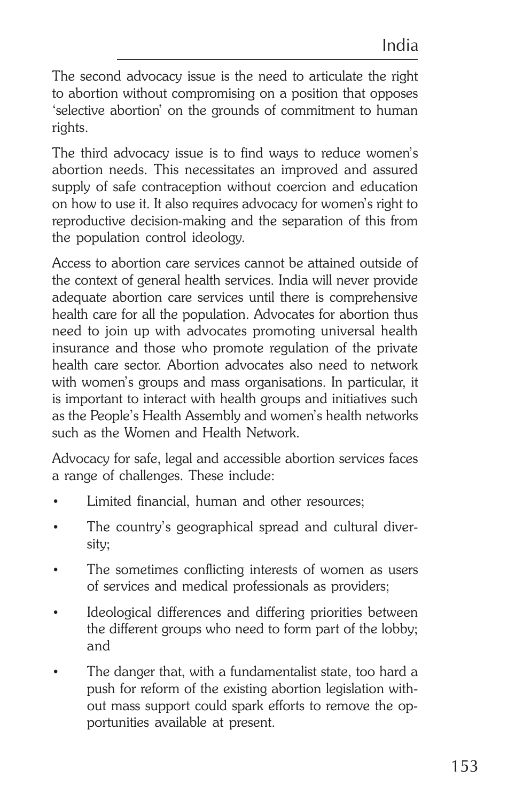The second advocacy issue is the need to articulate the right to abortion without compromising on a position that opposes 'selective abortion' on the grounds of commitment to human rights.

The third advocacy issue is to find ways to reduce women's abortion needs. This necessitates an improved and assured supply of safe contraception without coercion and education on how to use it. It also requires advocacy for women's right to reproductive decision-making and the separation of this from the population control ideology.

Access to abortion care services cannot be attained outside of the context of general health services. India will never provide adequate abortion care services until there is comprehensive health care for all the population. Advocates for abortion thus need to join up with advocates promoting universal health insurance and those who promote regulation of the private health care sector. Abortion advocates also need to network with women's groups and mass organisations. In particular, it is important to interact with health groups and initiatives such as the People's Health Assembly and women's health networks such as the Women and Health Network.

Advocacy for safe, legal and accessible abortion services faces a range of challenges. These include:

- Limited financial, human and other resources:
- The country's geographical spread and cultural diversity;
- The sometimes conflicting interests of women as users of services and medical professionals as providers;
- Ideological differences and differing priorities between the different groups who need to form part of the lobby; and
- The danger that, with a fundamentalist state, too hard a push for reform of the existing abortion legislation without mass support could spark efforts to remove the opportunities available at present.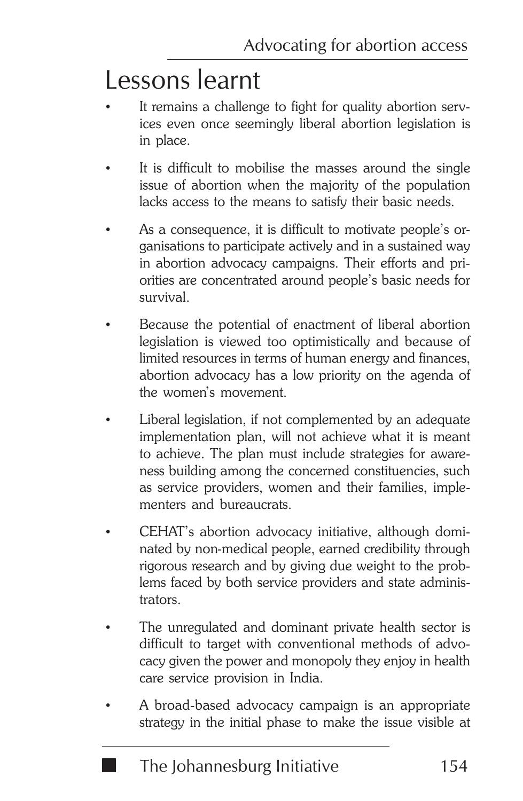# Lessons learnt

- It remains a challenge to fight for quality abortion services even once seemingly liberal abortion legislation is in place.
- It is difficult to mobilise the masses around the single issue of abortion when the majority of the population lacks access to the means to satisfy their basic needs.
- As a consequence, it is difficult to motivate people's organisations to participate actively and in a sustained way in abortion advocacy campaigns. Their efforts and priorities are concentrated around people's basic needs for survival.
- Because the potential of enactment of liberal abortion legislation is viewed too optimistically and because of limited resources in terms of human energy and finances, abortion advocacy has a low priority on the agenda of the women's movement.
- Liberal legislation, if not complemented by an adequate implementation plan, will not achieve what it is meant to achieve. The plan must include strategies for awareness building among the concerned constituencies, such as service providers, women and their families, implementers and bureaucrats.
- CEHAT's abortion advocacy initiative, although dominated by non-medical people, earned credibility through rigorous research and by giving due weight to the problems faced by both service providers and state administrators.
- The unregulated and dominant private health sector is difficult to target with conventional methods of advocacy given the power and monopoly they enjoy in health care service provision in India.
- A broad-based advocacy campaign is an appropriate strategy in the initial phase to make the issue visible at